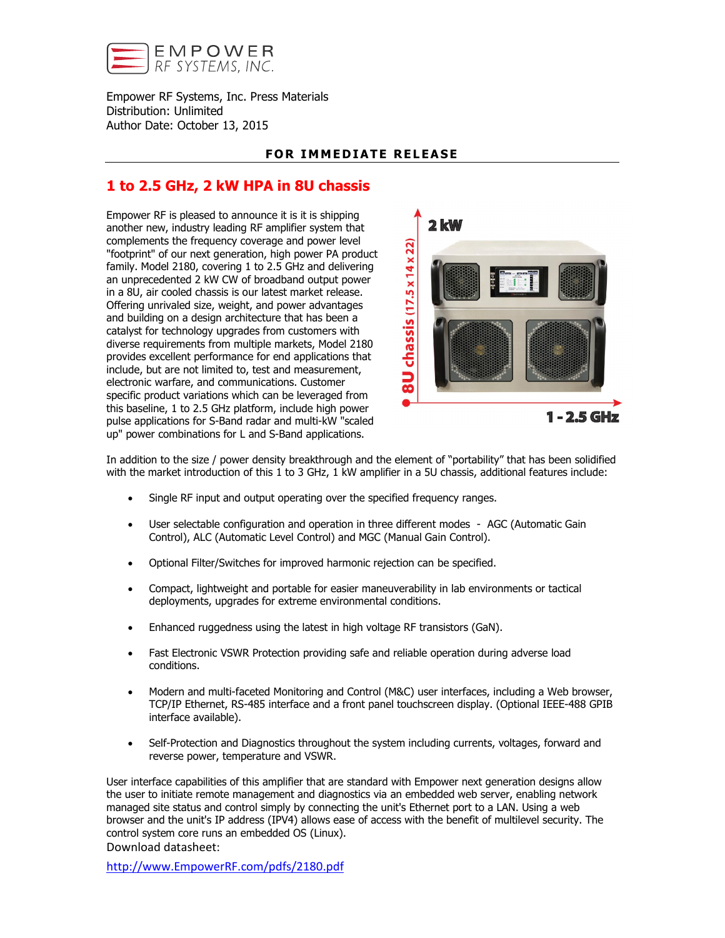

Empower RF Systems, Inc. Press Materials Distribution: Unlimited Author Date: October 13, 2015

## FOR IMMEDIATE RELEASE

## 1 to 2.5 GHz, 2 kW HPA in 8U chassis

Empower RF is pleased to announce it is it is shipping another new, industry leading RF amplifier system that complements the frequency coverage and power level "footprint" of our next generation, high power PA product family. Model 2180, covering 1 to 2.5 GHz and delivering an unprecedented 2 kW CW of broadband output power in a 8U, air cooled chassis is our latest market release. Offering unrivaled size, weight, and power advantages and building on a design architecture that has been a catalyst for technology upgrades from customers with diverse requirements from multiple markets, Model 2180 provides excellent performance for end applications that include, but are not limited to, test and measurement, electronic warfare, and communications. Customer specific product variations which can be leveraged from this baseline, 1 to 2.5 GHz platform, include high power pulse applications for S-Band radar and multi-kW "scaled up" power combinations for L and S-Band applications.



In addition to the size / power density breakthrough and the element of "portability" that has been solidified with the market introduction of this 1 to 3 GHz, 1 kW amplifier in a 5U chassis, additional features include:

- Single RF input and output operating over the specified frequency ranges.
- User selectable configuration and operation in three different modes AGC (Automatic Gain Control), ALC (Automatic Level Control) and MGC (Manual Gain Control).
- Optional Filter/Switches for improved harmonic rejection can be specified.
- Compact, lightweight and portable for easier maneuverability in lab environments or tactical deployments, upgrades for extreme environmental conditions.
- Enhanced ruggedness using the latest in high voltage RF transistors (GaN).
- Fast Electronic VSWR Protection providing safe and reliable operation during adverse load conditions.
- Modern and multi-faceted Monitoring and Control (M&C) user interfaces, including a Web browser, TCP/IP Ethernet, RS-485 interface and a front panel touchscreen display. (Optional IEEE-488 GPIB interface available).
- Self-Protection and Diagnostics throughout the system including currents, voltages, forward and reverse power, temperature and VSWR.

User interface capabilities of this amplifier that are standard with Empower next generation designs allow the user to initiate remote management and diagnostics via an embedded web server, enabling network managed site status and control simply by connecting the unit's Ethernet port to a LAN. Using a web browser and the unit's IP address (IPV4) allows ease of access with the benefit of multilevel security. The control system core runs an embedded OS (Linux).

Download datasheet:

[http://www.EmpowerRF.com/pdfs/2180.pdf](http://www.empowerrf.com/pdfs/2180.pdf)